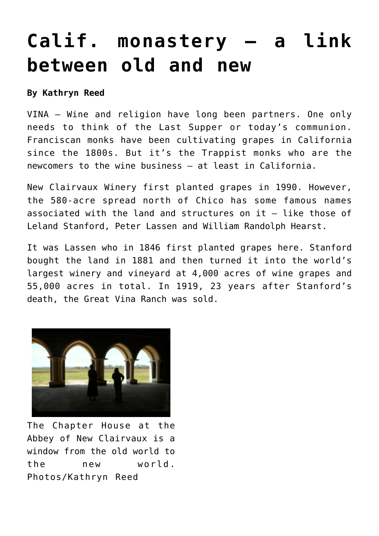## **[Calif. monastery — a link](https://www.laketahoenews.net/2013/05/north-state-monastery-a-link-between-old-and-new/) [between old and new](https://www.laketahoenews.net/2013/05/north-state-monastery-a-link-between-old-and-new/)**

**By Kathryn Reed**

VINA – Wine and religion have long been partners. One only needs to think of the Last Supper or today's communion. Franciscan monks have been cultivating grapes in California since the 1800s. But it's the Trappist monks who are the newcomers to the wine business – at least in California.

New Clairvaux Winery first planted grapes in 1990. However, the 580-acre spread north of Chico has some famous names associated with the land and structures on it – like those of Leland Stanford, Peter Lassen and William Randolph Hearst.

It was Lassen who in 1846 first planted grapes here. Stanford bought the land in 1881 and then turned it into the world's largest winery and vineyard at 4,000 acres of wine grapes and 55,000 acres in total. In 1919, 23 years after Stanford's death, the Great Vina Ranch was sold.



The Chapter House at the Abbey of New Clairvaux is a window from the old world to the new world. Photos/Kathryn Reed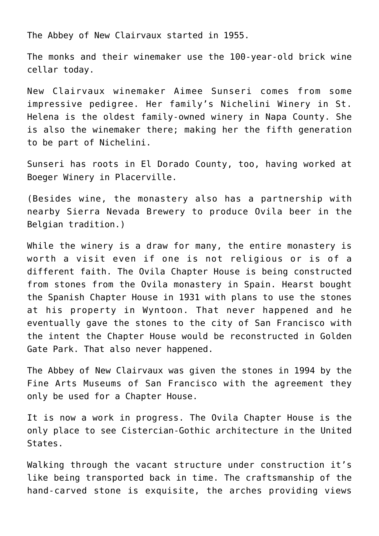The Abbey of New Clairvaux started in 1955.

The monks and their winemaker use the 100-year-old brick wine cellar today.

New Clairvaux winemaker Aimee Sunseri comes from some impressive pedigree. Her family's Nichelini Winery in St. Helena is the oldest family-owned winery in Napa County. She is also the winemaker there; making her the fifth generation to be part of Nichelini.

Sunseri has roots in El Dorado County, too, having worked at Boeger Winery in Placerville.

(Besides wine, the monastery also has a partnership with nearby Sierra Nevada Brewery to produce Ovila beer in the Belgian tradition.)

While the winery is a draw for many, the entire monastery is worth a visit even if one is not religious or is of a different faith. The Ovila Chapter House is being constructed from stones from the Ovila monastery in Spain. Hearst bought the Spanish Chapter House in 1931 with plans to use the stones at his property in Wyntoon. That never happened and he eventually gave the stones to the city of San Francisco with the intent the Chapter House would be reconstructed in Golden Gate Park. That also never happened.

The Abbey of New Clairvaux was given the stones in 1994 by the Fine Arts Museums of San Francisco with the agreement they only be used for a Chapter House.

It is now a work in progress. The Ovila Chapter House is the only place to see Cistercian-Gothic architecture in the United States.

Walking through the vacant structure under construction it's like being transported back in time. The craftsmanship of the hand-carved stone is exquisite, the arches providing views